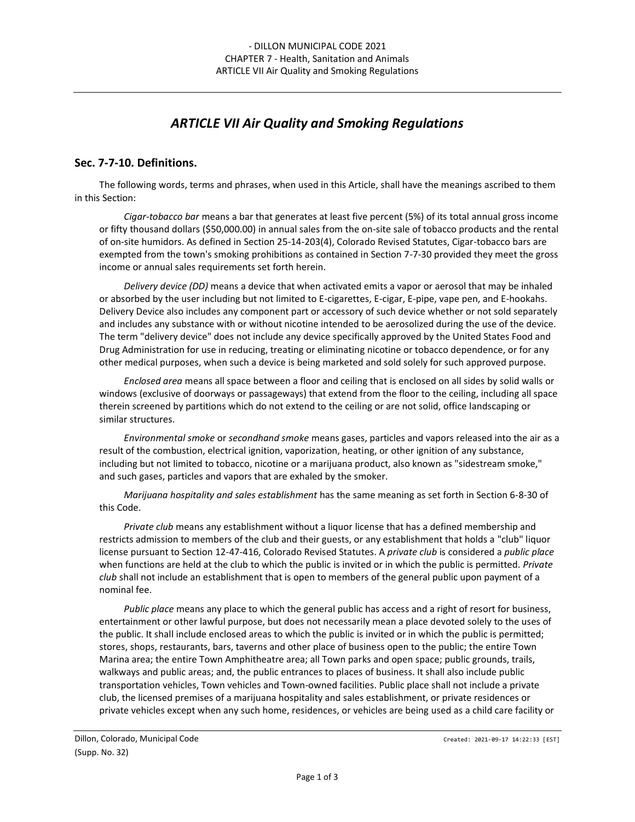# *ARTICLE VII Air Quality and Smoking Regulations*

#### **Sec. 7-7-10. Definitions.**

The following words, terms and phrases, when used in this Article, shall have the meanings ascribed to them in this Section:

*Cigar-tobacco bar* means a bar that generates at least five percent (5%) of its total annual gross income or fifty thousand dollars (\$50,000.00) in annual sales from the on-site sale of tobacco products and the rental of on-site humidors. As defined in Section 25-14-203(4), Colorado Revised Statutes, Cigar-tobacco bars are exempted from the town's smoking prohibitions as contained in Section 7-7-30 provided they meet the gross income or annual sales requirements set forth herein.

*Delivery device (DD)* means a device that when activated emits a vapor or aerosol that may be inhaled or absorbed by the user including but not limited to E-cigarettes, E-cigar, E-pipe, vape pen, and E-hookahs. Delivery Device also includes any component part or accessory of such device whether or not sold separately and includes any substance with or without nicotine intended to be aerosolized during the use of the device. The term "delivery device" does not include any device specifically approved by the United States Food and Drug Administration for use in reducing, treating or eliminating nicotine or tobacco dependence, or for any other medical purposes, when such a device is being marketed and sold solely for such approved purpose.

*Enclosed area* means all space between a floor and ceiling that is enclosed on all sides by solid walls or windows (exclusive of doorways or passageways) that extend from the floor to the ceiling, including all space therein screened by partitions which do not extend to the ceiling or are not solid, office landscaping or similar structures.

*Environmental smoke* or *secondhand smoke* means gases, particles and vapors released into the air as a result of the combustion, electrical ignition, vaporization, heating, or other ignition of any substance, including but not limited to tobacco, nicotine or a marijuana product, also known as "sidestream smoke," and such gases, particles and vapors that are exhaled by the smoker.

*Marijuana hospitality and sales establishment* has the same meaning as set forth in Section 6-8-30 of this Code.

*Private club* means any establishment without a liquor license that has a defined membership and restricts admission to members of the club and their guests, or any establishment that holds a "club" liquor license pursuant to Section 12-47-416, Colorado Revised Statutes. A *private club* is considered a *public place* when functions are held at the club to which the public is invited or in which the public is permitted. *Private club* shall not include an establishment that is open to members of the general public upon payment of a nominal fee.

*Public place* means any place to which the general public has access and a right of resort for business, entertainment or other lawful purpose, but does not necessarily mean a place devoted solely to the uses of the public. It shall include enclosed areas to which the public is invited or in which the public is permitted; stores, shops, restaurants, bars, taverns and other place of business open to the public; the entire Town Marina area; the entire Town Amphitheatre area; all Town parks and open space; public grounds, trails, walkways and public areas; and, the public entrances to places of business. It shall also include public transportation vehicles, Town vehicles and Town-owned facilities. Public place shall not include a private club, the licensed premises of a marijuana hospitality and sales establishment, or private residences or private vehicles except when any such home, residences, or vehicles are being used as a child care facility or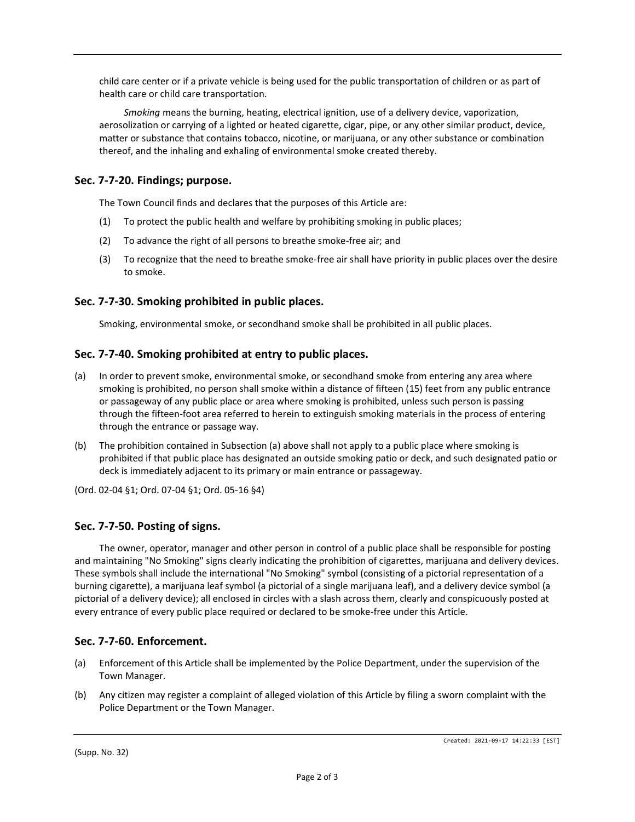child care center or if a private vehicle is being used for the public transportation of children or as part of health care or child care transportation.

*Smoking* means the burning, heating, electrical ignition, use of a delivery device, vaporization, aerosolization or carrying of a lighted or heated cigarette, cigar, pipe, or any other similar product, device, matter or substance that contains tobacco, nicotine, or marijuana, or any other substance or combination thereof, and the inhaling and exhaling of environmental smoke created thereby.

## **Sec. 7-7-20. Findings; purpose.**

The Town Council finds and declares that the purposes of this Article are:

- (1) To protect the public health and welfare by prohibiting smoking in public places;
- (2) To advance the right of all persons to breathe smoke-free air; and
- (3) To recognize that the need to breathe smoke-free air shall have priority in public places over the desire to smoke.

### **Sec. 7-7-30. Smoking prohibited in public places.**

Smoking, environmental smoke, or secondhand smoke shall be prohibited in all public places.

#### **Sec. 7-7-40. Smoking prohibited at entry to public places.**

- (a) In order to prevent smoke, environmental smoke, or secondhand smoke from entering any area where smoking is prohibited, no person shall smoke within a distance of fifteen (15) feet from any public entrance or passageway of any public place or area where smoking is prohibited, unless such person is passing through the fifteen-foot area referred to herein to extinguish smoking materials in the process of entering through the entrance or passage way.
- (b) The prohibition contained in Subsection (a) above shall not apply to a public place where smoking is prohibited if that public place has designated an outside smoking patio or deck, and such designated patio or deck is immediately adjacent to its primary or main entrance or passageway.

(Ord. 02-04 §1; Ord. 07-04 §1; Ord. 05-16 §4)

#### **Sec. 7-7-50. Posting of signs.**

The owner, operator, manager and other person in control of a public place shall be responsible for posting and maintaining "No Smoking" signs clearly indicating the prohibition of cigarettes, marijuana and delivery devices. These symbols shall include the international "No Smoking" symbol (consisting of a pictorial representation of a burning cigarette), a marijuana leaf symbol (a pictorial of a single marijuana leaf), and a delivery device symbol (a pictorial of a delivery device); all enclosed in circles with a slash across them, clearly and conspicuously posted at every entrance of every public place required or declared to be smoke-free under this Article.

#### **Sec. 7-7-60. Enforcement.**

- (a) Enforcement of this Article shall be implemented by the Police Department, under the supervision of the Town Manager.
- (b) Any citizen may register a complaint of alleged violation of this Article by filing a sworn complaint with the Police Department or the Town Manager.